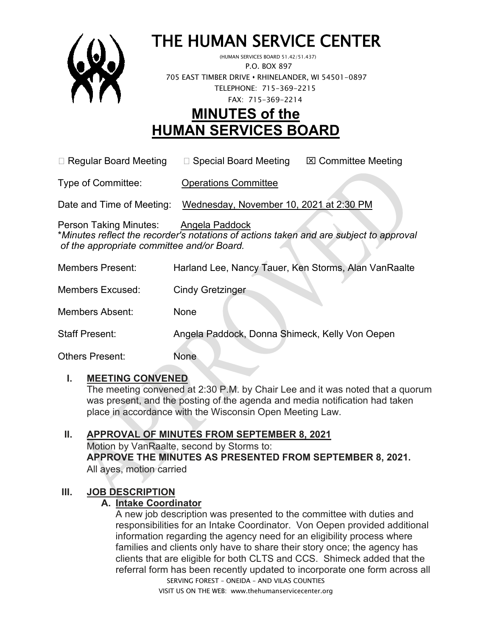

# THE HUMAN SERVICE CENTER (HUMAN SERVICES BOARD 51.42/51.437)

 P.O. BOX 897 705 EAST TIMBER DRIVE **•** RHINELANDER, WI 54501-0897 TELEPHONE: 715-369-2215 FAX: 715-369-2214

# **MINUTES of the HUMAN SERVICES BOARD**

 $\Box$  Regular Board Meeting  $\Box$  Special Board Meeting  $\Box$  Committee Meeting

Type of Committee: Operations Committee

Date and Time of Meeting: Wednesday, November 10, 2021 at 2:30 PM

Person Taking Minutes: Angela Paddock \**Minutes reflect the recorder's notations of actions taken and are subject to approval of the appropriate committee and/or Board.*

- Members Present: Harland Lee, Nancy Tauer, Ken Storms, Alan VanRaalte
- Members Excused: Cindy Gretzinger

Members Absent: None

Staff Present: Angela Paddock, Donna Shimeck, Kelly Von Oepen

Others Present: None

#### **I. MEETING CONVENED**

The meeting convened at 2:30 P.M. by Chair Lee and it was noted that a quorum was present, and the posting of the agenda and media notification had taken place in accordance with the Wisconsin Open Meeting Law.

## **II. APPROVAL OF MINUTES FROM SEPTEMBER 8, 2021**

Motion by VanRaalte, second by Storms to: **APPROVE THE MINUTES AS PRESENTED FROM SEPTEMBER 8, 2021.**  All ayes, motion carried

# **III. JOB DESCRIPTION**

## **A. Intake Coordinator**

SERVING FOREST – ONEIDA – AND VILAS COUNTIES A new job description was presented to the committee with duties and responsibilities for an Intake Coordinator. Von Oepen provided additional information regarding the agency need for an eligibility process where families and clients only have to share their story once; the agency has clients that are eligible for both CLTS and CCS. Shimeck added that the referral form has been recently updated to incorporate one form across all

VISIT US ON THE WEB: www.thehumanservicecenter.org